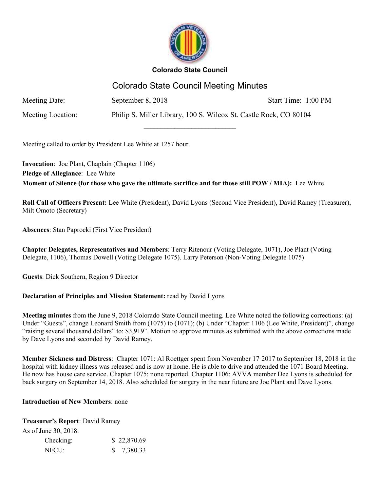

# Colorado State Council Meeting Minutes

 $\overline{\phantom{a}}$  , where  $\overline{\phantom{a}}$  , where  $\overline{\phantom{a}}$  , where  $\overline{\phantom{a}}$ 

Meeting Date: September 8, 2018 September 8, 2018

Meeting Location: Philip S. Miller Library, 100 S. Wilcox St. Castle Rock, CO 80104

Meeting called to order by President Lee White at 1257 hour.

**Invocation**: Joe Plant, Chaplain (Chapter 1106) **Pledge of Allegiance**: Lee White **Moment of Silence (for those who gave the ultimate sacrifice and for those still POW / MIA):** Lee White

**Roll Call of Officers Present:** Lee White (President), David Lyons (Second Vice President), David Ramey (Treasurer), Milt Omoto (Secretary)

**Absences**: Stan Paprocki (First Vice President)

**Chapter Delegates, Representatives and Members**: Terry Ritenour (Voting Delegate, 1071), Joe Plant (Voting Delegate, 1106), Thomas Dowell (Voting Delegate 1075). Larry Peterson (Non-Voting Delegate 1075)

**Guests**: Dick Southern, Region 9 Director

## **Declaration of Principles and Mission Statement:** read by David Lyons

**Meeting minutes** from the June 9, 2018 Colorado State Council meeting. Lee White noted the following corrections: (a) Under "Guests", change Leonard Smith from (1075) to (1071); (b) Under "Chapter 1106 (Lee White, President)", change "raising several thousand dollars" to: \$3,919". Motion to approve minutes as submitted with the above corrections made by Dave Lyons and seconded by David Ramey.

**Member Sickness and Distress**: Chapter 1071: Al Roettger spent from November 17, 2017 to September 18, 2018 in the hospital with kidney illness was released and is now at home. He is able to drive and attended the 1071 Board Meeting. He now has house care service. Chapter 1075: none reported. Chapter 1106: AVVA member Dee Lyons is scheduled for back surgery on September 14, 2018. Also scheduled for surgery in the near future are Joe Plant and Dave Lyons.

### **Introduction of New Members**: none

**Treasurer's Report**: David Ramey

As of June 30, 2018:

| Checking: | \$22,870.69 |
|-----------|-------------|
| NFCU:     | \$7,380.33  |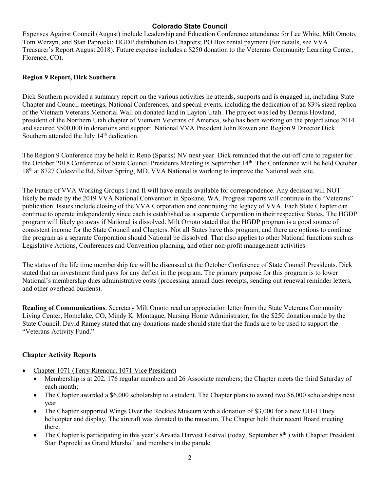Expenses Against Council (August) include Leadership and Education Conference attendance for Lee White, Milt Omoto, Tom Werzyn, and Stan Paprocki; HGDP distribution to Chapters; PO Box rental payment (for details, see VVA Treasurer's Report August 2018). Future expense includes a \$250 donation to the Veterans Community Learning Center, Florence, CO).

#### **Region 9 Report, Dick Southern**

Dick Southern provided a summary report on the various activities he attends, supports and is engaged in, including State Chapter and Council meetings, National Conferences, and special events, including the dedication of an 83% sized replica of the Vietnam Veterans Memorial Wall on donated land in Layton Utah. The project was led by Dennis Howland, president of the Northern Utah chapter of Vietnam Veterans of America, who has been working on the project since 2014 and secured \$500,000 in donations and support. National VVA President John Rowen and Region 9 Director Dick Southern attended the July 14<sup>th</sup> dedication.

The Region 9 Conference may be held in Reno (Sparks) NV next year. Dick reminded that the cut-off date to register for the October 2018 Conference of State Council Presidents Meeting is September 14th. The Conference will be held October 18<sup>th</sup> at 8727 Colesville Rd, Silver Spring, MD. VVA National is working to improve the National web site.

The Future of VVA Working Groups I and II will have emails available for correspondence. Any decision will NOT likely be made by the 2019 VVA National Convention in Spokane, WA. Progress reports will continue in the "Veterans" publication. Issues include closing of the VVA Corporation and continuing the legacy of VVA. Each State Chapter can continue to operate independently since each is established as a separate Corporation in their respective States. The HGDP program will likely go away if National is dissolved. Milt Omoto stated that the HGDP program is a good source of consistent income for the State Council and Chapters. Not all States have this program, and there are options to continue the program as a separate Corporation should National be dissolved. That also applies to other National functions such as Legislative Actions, Conferences and Convention planning, and other non-profit management activities.

The status of the life time membership fee will be discussed at the October Conference of State Council Presidents. Dick stated that an investment fund pays for any deficit in the program. The primary purpose for this program is to lower National's membership dues administrative costs (processing annual dues receipts, sending out renewal reminder letters, and other overhead burdens).

**Reading of Communications**. Secretary Milt Omoto read an appreciation letter from the State Veterans Community Living Center, Homelake, CO, Mindy K. Montague, Nursing Home Administrator, for the \$250 donation made by the State Council. David Ramey stated that any donations made should state that the funds are to be used to support the "Veterans Activity Fund."

### **Chapter Activity Reports**

- Chapter 1071 (Terry Ritenour, 1071 Vice President)
	- Membership is at 202, 176 regular members and 26 Associate members; the Chapter meets the third Saturday of each month;
	- The Chapter awarded a \$6,000 scholarship to a student. The Chapter plans to award two \$6,000 scholarships next year
	- The Chapter supported Wings Over the Rockies Museum with a donation of \$3,000 for a new UH-1 Huey helicopter and display. The aircraft was donated to the museum. The Chapter held their recent Board meeting there.
	- The Chapter is participating in this year's Arvada Harvest Festival (today, September 8<sup>th</sup>) with Chapter President Stan Paprocki as Grand Marshall and members in the parade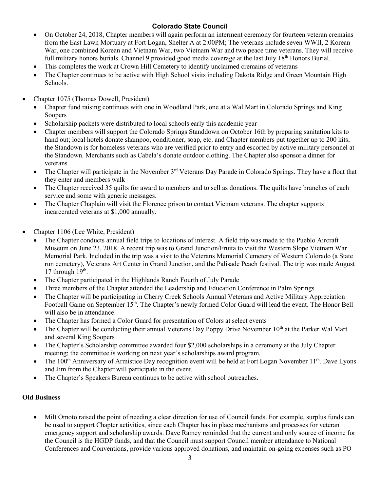- On October 24, 2018, Chapter members will again perform an interment ceremony for fourteen veteran cremains from the East Lawn Mortuary at Fort Logan, Shelter A at 2:00PM; The veterans include seven WWII, 2 Korean War, one combined Korean and Vietnam War, two Vietnam War and two peace time veterans. They will receive full military honors burials. Channel 9 provided good media coverage at the last July 18<sup>th</sup> Honors Burial.
- This completes the work at Crown Hill Cemetery to identify unclaimed cremains of veterans
- The Chapter continues to be active with High School visits including Dakota Ridge and Green Mountain High Schools.
- Chapter 1075 (Thomas Dowell, President)
	- Chapter fund raising continues with one in Woodland Park, one at a Wal Mart in Colorado Springs and King Soopers
	- Scholarship packets were distributed to local schools early this academic year
	- Chapter members will support the Colorado Springs Standdown on October 16th by preparing sanitation kits to hand out; local hotels donate shampoo, conditioner, soap, etc. and Chapter members put together up to 200 kits; the Standown is for homeless veterans who are verified prior to entry and escorted by active military personnel at the Standown. Merchants such as Cabela's donate outdoor clothing. The Chapter also sponsor a dinner for veterans
	- $\bullet$  The Chapter will participate in the November 3<sup>rd</sup> Veterans Day Parade in Colorado Springs. They have a float that they enter and members walk
	- The Chapter received 35 quilts for award to members and to sell as donations. The quilts have branches of each service and some with generic messages.
	- The Chapter Chaplain will visit the Florence prison to contact Vietnam veterans. The chapter supports incarcerated veterans at \$1,000 annually.
- Chapter 1106 (Lee White, President)
	- The Chapter conducts annual field trips to locations of interest. A field trip was made to the Pueblo Aircraft Museum on June 23, 2018. A recent trip was to Grand Junction/Fruita to visit the Western Slope Vietnam War Memorial Park. Included in the trip was a visit to the Veterans Memorial Cemetery of Western Colorado (a State run cemetery), Veterans Art Center in Grand Junction, and the Palisade Peach festival. The trip was made August 17 through  $19<sup>th</sup>$ .
	- The Chapter participated in the Highlands Ranch Fourth of July Parade
	- Three members of the Chapter attended the Leadership and Education Conference in Palm Springs
	- The Chapter will be participating in Cherry Creek Schools Annual Veterans and Active Military Appreciation Football Game on September 15<sup>th</sup>. The Chapter's newly formed Color Guard will lead the event. The Honor Bell will also be in attendance.
	- The Chapter has formed a Color Guard for presentation of Colors at select events
	- The Chapter will be conducting their annual Veterans Day Poppy Drive November 10<sup>th</sup> at the Parker Wal Mart and several King Soopers
	- The Chapter's Scholarship committee awarded four \$2,000 scholarships in a ceremony at the July Chapter meeting; the committee is working on next year's scholarships award program.
	- The 100<sup>th</sup> Anniversary of Armistice Day recognition event will be held at Fort Logan November 11<sup>th</sup>. Dave Lyons and Jim from the Chapter will participate in the event.
	- The Chapter's Speakers Bureau continues to be active with school outreaches.

### **Old Business**

 Milt Omoto raised the point of needing a clear direction for use of Council funds. For example, surplus funds can be used to support Chapter activities, since each Chapter has in place mechanisms and processes for veteran emergency support and scholarship awards. Dave Ramey reminded that the current and only source of income for the Council is the HGDP funds, and that the Council must support Council member attendance to National Conferences and Conventions, provide various approved donations, and maintain on-going expenses such as PO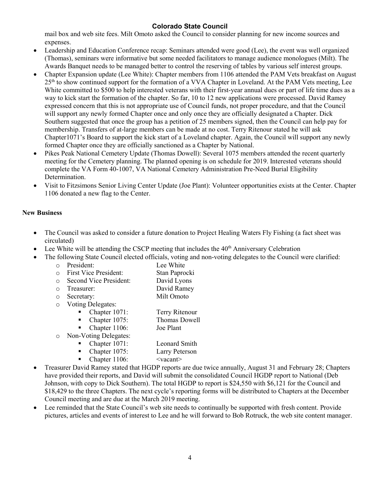mail box and web site fees. Milt Omoto asked the Council to consider planning for new income sources and expenses.

- Leadership and Education Conference recap: Seminars attended were good (Lee), the event was well organized (Thomas), seminars were informative but some needed facilitators to manage audience monologues (Milt). The Awards Banquet needs to be managed better to control the reserving of tables by various self interest groups.
- Chapter Expansion update (Lee White): Chapter members from 1106 attended the PAM Vets breakfast on August 25<sup>th</sup> to show continued support for the formation of a VVA Chapter in Loveland. At the PAM Vets meeting, Lee White committed to \$500 to help interested veterans with their first-year annual dues or part of life time dues as a way to kick start the formation of the chapter. So far, 10 to 12 new applications were processed. David Ramey expressed concern that this is not appropriate use of Council funds, not proper procedure, and that the Council will support any newly formed Chapter once and only once they are officially designated a Chapter. Dick Southern suggested that once the group has a petition of 25 members signed, then the Council can help pay for membership. Transfers of at-large members can be made at no cost. Terry Ritenour stated he will ask Chapter1071's Board to support the kick start of a Loveland chapter. Again, the Council will support any newly formed Chapter once they are officially sanctioned as a Chapter by National.
- Pikes Peak National Cemetery Update (Thomas Dowell): Several 1075 members attended the recent quarterly meeting for the Cemetery planning. The planned opening is on schedule for 2019. Interested veterans should complete the VA Form 40-1007, VA National Cemetery Administration Pre-Need Burial Eligibility Determination.
- Visit to Fitzsimons Senior Living Center Update (Joe Plant): Volunteer opportunities exists at the Center. Chapter 1106 donated a new flag to the Center.

#### **New Business**

- The Council was asked to consider a future donation to Project Healing Waters Fly Fishing (a fact sheet was circulated)
- Lee White will be attending the CSCP meeting that includes the 40<sup>th</sup> Anniversary Celebration
- The following State Council elected officials, voting and non-voting delegates to the Council were clarified:
	- o President: Lee White
	- o First Vice President: Stan Paprocki
	- o Second Vice President: David Lyons
	- o Treasurer: David Ramey
	- o Secretary: Milt Omoto
	- o Voting Delegates:
		- Chapter 1071: Terry Ritenour
		- Chapter 1075: Thomas Dowell
		- Chapter 1106: Joe Plant
	- o Non-Voting Delegates:
		- Chapter 1071: Leonard Smith
		- Chapter 1075: Larry Peterson<br>■ Chapter 1106: <vacant>
			- Chapter 1106: <vacant>
- Treasurer David Ramey stated that HGDP reports are due twice annually, August 31 and February 28; Chapters have provided their reports, and David will submit the consolidated Council HGDP report to National (Deb Johnson, with copy to Dick Southern). The total HGDP to report is \$24,550 with \$6,121 for the Council and \$18,429 to the three Chapters. The next cycle's reporting forms will be distributed to Chapters at the December Council meeting and are due at the March 2019 meeting.
- Lee reminded that the State Council's web site needs to continually be supported with fresh content. Provide pictures, articles and events of interest to Lee and he will forward to Bob Rotruck, the web site content manager.